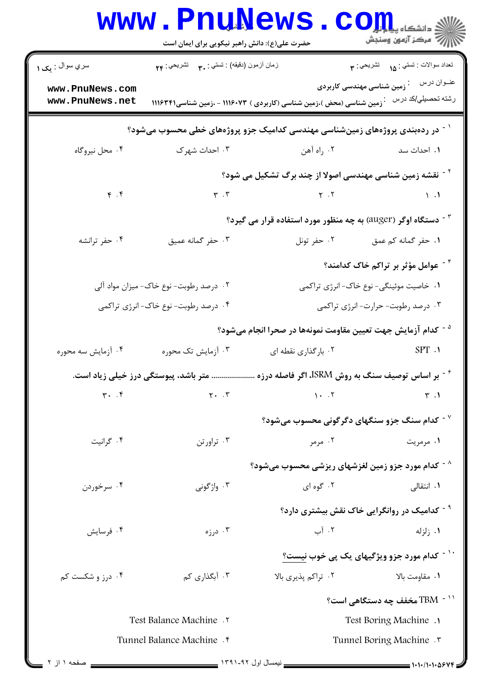|                                                                                                | <b>WWW.PNUNEWS.</b><br>حضرت علی(ع): دانش راهبر نیکویی برای ایمان است |                                                                               | دانشگاه پی <mark>ا یا ب</mark> ار<br>// مرڪز آزمون وسنڊش                    |  |
|------------------------------------------------------------------------------------------------|----------------------------------------------------------------------|-------------------------------------------------------------------------------|-----------------------------------------------------------------------------|--|
| سري سوال : پک ۱                                                                                | زمان أزمون (دقيقه) : تستي : ٣. تشريحي : ٢۴                           |                                                                               |                                                                             |  |
| www.PnuNews.com<br>www.PnuNews.net                                                             |                                                                      | <b>` زمین شناسی (محض )،زمین شناسی (کاربردی ) ۱۱۱۶۰۷۳</b> - ،زمین شناسی۱۱۱۶۳۴۱ | عنــوان درس<br><sup>:</sup> زمین شناسی مهندسی کاربردی<br>رشته تحصيلي/كد درس |  |
| <sup>۱ -</sup> در ردهبندی پروژههای زمینشناسی مهندسی کدامیک جزو پروژههای خطی محسوب میشود؟       |                                                                      |                                                                               |                                                                             |  |
| ۰۴ محل نیروگاه                                                                                 | ۰۳ احداث شهرک                                                        | ۰۲ راه آهن                                                                    | ۰۱ احداث سد                                                                 |  |
|                                                                                                |                                                                      | <sup>۲ -</sup> نقشه زمین شناسی مهندسی اصولا از چند برگ تشکیل می شود؟          |                                                                             |  |
| $\mathfrak{f}$ . $\mathfrak{f}$                                                                |                                                                      | $\mathbf{r} \cdot \mathbf{r}$ (1)                                             |                                                                             |  |
|                                                                                                |                                                                      | دستگاه اوگر (auger) به چه منظور مورد استفاده قرار می گیرد؟ "                  |                                                                             |  |
| ۰۴ حفر ترانشه                                                                                  | ۰۳ حفر گمانه عميق                                                    | ۰۲ حفر تونل                                                                   | ۱. حفر گمانه کم عمق                                                         |  |
|                                                                                                |                                                                      |                                                                               | عوامل مؤثر بر تراکم خاک کدامند؟ $^\circ$                                    |  |
| ۰۲ درصد رطوبت- نوع خاک- میزان مواد آلی                                                         |                                                                      | ۱. خاصیت موئینگی- نوع خاک- انرژی تراکمی                                       |                                                                             |  |
| ۰۴ درصد رطوبت- نوع خاک- انرژی تراکمی                                                           |                                                                      | ۰۳ درصد رطوبت- حرارت- انرژی تراکمی                                            |                                                                             |  |
|                                                                                                |                                                                      | <sup>۵ -</sup> کدام آزمایش جهت تعیین مقاومت نمونهها در صحرا انجام میشود؟      |                                                                             |  |
| ۰۴ آزمایش سه محوره                                                                             | ۰۳ آزمایش تک محوره                                                   | ۰۲ بارگذاری نقطه ای                                                           | SPT.1                                                                       |  |
| ر اساس توصیف سنگ به روش ISRM، اگر فاصله درزه $^{\sim}$<br>متر باشد، پیوستگی درز خیلی زیاد است. |                                                                      |                                                                               |                                                                             |  |
| $\mathbf{r}$ . $\mathbf{r}$                                                                    | $Y \cdot \cdot \cdot Y$                                              | $1 - .7$                                                                      | $\mathsf{r}$ .1                                                             |  |
|                                                                                                |                                                                      | $^{\circ}$ کدام سنگ جزو سنگهای دگرگونی محسوب میشود $^{\circ}$                 |                                                                             |  |
| ۰۴ گرانیت                                                                                      | ۰۳ تراورتن                                                           | ۰۲ مرمر                                                                       | ۰۱ مرمریت                                                                   |  |
|                                                                                                |                                                                      | <sup>۸ -</sup> کدام مورد جزو زمین لغزشهای ریزشی محسوب میشود؟                  |                                                                             |  |
| ۰۴ سرخوردن                                                                                     | ۰۳ واژگونی                                                           | ۰۲ گوه ای                                                                     | ۰۱ انتقالی                                                                  |  |
|                                                                                                |                                                                      |                                                                               | <sup>۹ -</sup> کدامیک در روانگرایی خاک نقش بیشتری دارد؟                     |  |
| ۰۴ فرسایش                                                                                      | ن د <sub>ر زه</sub> $\cdot$ ۳                                        | ۰۲ آب                                                                         | ۰۱ زلزله                                                                    |  |
|                                                                                                |                                                                      |                                                                               | <sup>۱۰ -</sup> کدام مورد جزو ویژگیهای یک پی خوب نیست؟                      |  |
| ۰۴ درز و شکست کم                                                                               | ۰۳ آبگذاری کم                                                        | ۰۲ تراکم پذیری بالا                                                           | ۰۱ مقاومت بالا                                                              |  |
|                                                                                                |                                                                      |                                                                               | ° مخفف چه دستگاهی است $\rm TBM$ - $^{11}$                                   |  |
| Test Balance Machine .                                                                         |                                                                      | Test Boring Machine .                                                         |                                                                             |  |
|                                                                                                | Tunnel Balance Machine . f                                           |                                                                               | Tunnel Boring Machine .                                                     |  |
| صفحه ١ أز ٢                                                                                    |                                                                      | - ندمسال اول ۱۳۹۱-۱۳۹۱.                                                       |                                                                             |  |